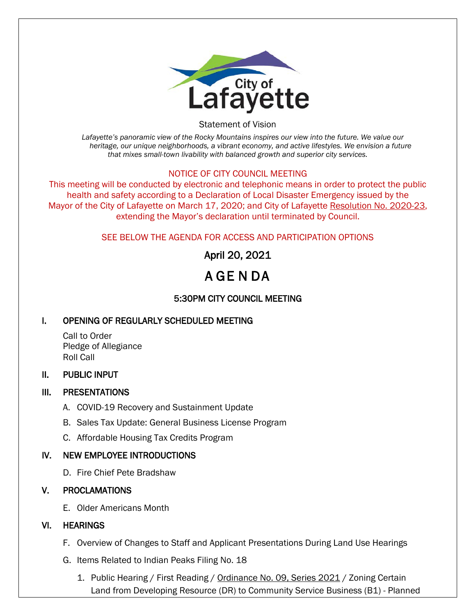

Statement of Vision

*Lafayette's panoramic view of the Rocky Mountains inspires our view into the future. We value our heritage, our unique neighborhoods, a vibrant economy, and active lifestyles. We envision a future that mixes small-town livability with balanced growth and superior city services.*

#### NOTICE OF CITY COUNCIL MEETING

This meeting will be conducted by electronic and telephonic means in order to protect the public health and safety according to a Declaration of Local Disaster Emergency issued by the Mayor of the City of Lafayette on March 17, 2020; and City of Lafayette Resolution No. 2020-23, extending the Mayor's declaration until terminated by Council.

#### SEE BELOW THE AGENDA FOR ACCESS AND PARTICIPATION OPTIONS

# April 20, 2021

# A GE N DA

## 5:30PM CITY COUNCIL MEETING

#### I. OPENING OF REGULARLY SCHEDULED MEETING

Call to Order Pledge of Allegiance Roll Call

#### II. PUBLIC INPUT

#### III. PRESENTATIONS

- A. COVID-19 Recovery and Sustainment Update
- B. Sales Tax Update: General Business License Program
- C. Affordable Housing Tax Credits Program

#### IV. NEW EMPLOYEE INTRODUCTIONS

D. Fire Chief Pete Bradshaw

#### V. PROCLAMATIONS

E. Older Americans Month

#### VI. HEARINGS

- F. Overview of Changes to Staff and Applicant Presentations During Land Use Hearings
- G. Items Related to Indian Peaks Filing No. 18
	- 1. Public Hearing / First Reading / Ordinance No. 09, Series 2021 / Zoning Certain Land from Developing Resource (DR) to Community Service Business (B1) - Planned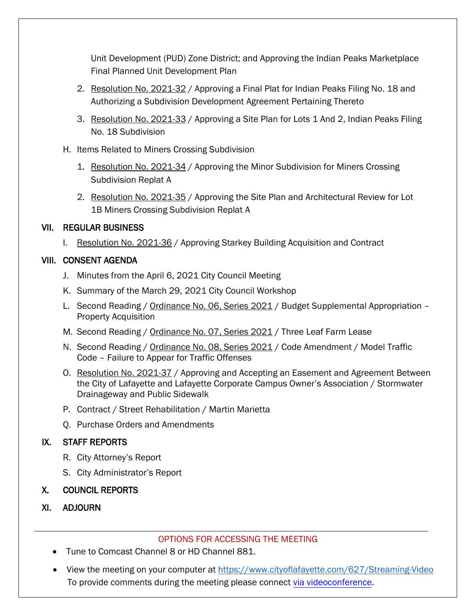Unit Development (PUD) Zone District; and Approving the Indian Peaks Marketplace Final Planned Unit Development Plan

- 2. Resolution No. 2021-32 / Approving a Final Plat for Indian Peaks Filing No. 18 and Authorizing a Subdivision Development Agreement Pertaining Thereto
- 3. Resolution No. 2021-33 / Approving a Site Plan for Lots 1 And 2, Indian Peaks Filing No. 18 Subdivision
- H. Items Related to Miners Crossing Subdivision
	- 1. Resolution No. 2021-34 / Approving the Minor Subdivision for Miners Crossing Subdivision Replat A
	- 2. Resolution No. 2021-35 / Approving the Site Plan and Architectural Review for Lot 1B Miners Crossing Subdivision Replat A

#### VII. REGULAR BUSINESS

I. Resolution No. 2021-36 / Approving Starkey Building Acquisition and Contract

## VIII. CONSENT AGENDA

- J. Minutes from the April 6, 2021 City Council Meeting
- K. Summary of the March 29, 2021 City Council Workshop
- L. Second Reading / Ordinance No. 06, Series 2021 / Budget Supplemental Appropriation -Property Acquisition
- M. Second Reading / Ordinance No. 07, Series 2021 / Three Leaf Farm Lease
- N. Second Reading / Ordinance No. 08, Series 2021 / Code Amendment / Model Traffic Code – Failure to Appear for Traffic Offenses
- O. Resolution No. 2021-37 / Approving and Accepting an Easement and Agreement Between the City of Lafayette and Lafayette Corporate Campus Owner's Association / Stormwater Drainageway and Public Sidewalk
- P. Contract / Street Rehabilitation / Martin Marietta
- Q. Purchase Orders and Amendments

## IX. STAFF REPORTS

- R. City Attorney's Report
- S. City Administrator's Report

#### X. COUNCIL REPORTS

XI. ADJOURN

#### OPTIONS FOR ACCESSING THE MEETING

- Tune to Comcast Channel 8 or HD Channel 881.
- View the meeting on your computer at https://www.cityoflafayette.com/627/Streaming-Video To provide comments during the meeting please connect [via videoconference.](https://www.cityoflafayette.com/627/Streaming-Video)